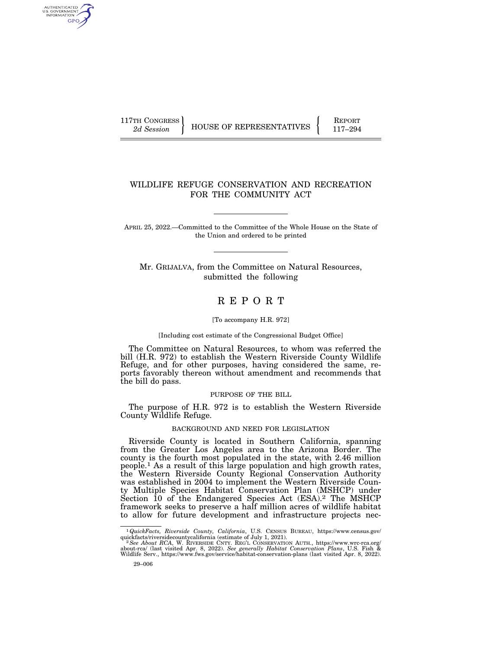AUTHENTICATED<br>U.S. GOVERNMENT<br>INFORMATION GPO

117TH CONGRESS HOUSE OF REPRESENTATIVES FEPORT 117-294

# WILDLIFE REFUGE CONSERVATION AND RECREATION FOR THE COMMUNITY ACT

APRIL 25, 2022.—Committed to the Committee of the Whole House on the State of the Union and ordered to be printed

Mr. GRIJALVA, from the Committee on Natural Resources, submitted the following

# R E P O R T

#### [To accompany H.R. 972]

#### [Including cost estimate of the Congressional Budget Office]

The Committee on Natural Resources, to whom was referred the bill (H.R. 972) to establish the Western Riverside County Wildlife Refuge, and for other purposes, having considered the same, reports favorably thereon without amendment and recommends that the bill do pass.

### PURPOSE OF THE BILL

The purpose of H.R. 972 is to establish the Western Riverside County Wildlife Refuge.

# BACKGROUND AND NEED FOR LEGISLATION

Riverside County is located in Southern California, spanning from the Greater Los Angeles area to the Arizona Border. The county is the fourth most populated in the state, with 2.46 million people.1 As a result of this large population and high growth rates, the Western Riverside County Regional Conservation Authority was established in 2004 to implement the Western Riverside County Multiple Species Habitat Conservation Plan (MSHCP) under Section 10 of the Endangered Species Act (ESA).<sup>2</sup> The MSHCP framework seeks to preserve a half million acres of wildlife habitat to allow for future development and infrastructure projects nec-

 $1$   $\overline{QuickFacts, Riverside~ County,~ California,$  U.S. CENSUS BUREAU, https://www.census.gov/quickfacts/riverside<br>countycalifornia (estimate of July 1, 2021).

quickfacts/riversidecountycalifornia (estimate of July 1, 2021).<br><sup>2</sup> See About RCA, W. RIVERSIDE CNTY. REGL CONSERVATION AUTH., https://www.wrc-rca.org/<br>about-rca/ (last visited Apr. 8, 2022). See generally Habitat Conserv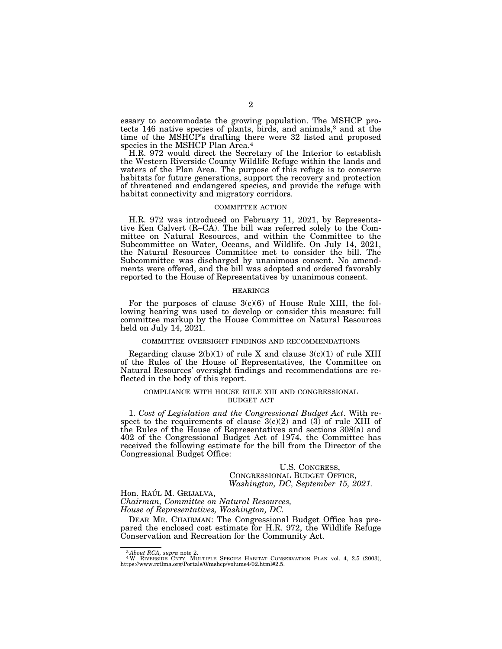essary to accommodate the growing population. The MSHCP protects 146 native species of plants, birds, and animals,3 and at the time of the MSHCP's drafting there were 32 listed and proposed species in the MSHCP Plan Area.<sup>4</sup>

H.R. 972 would direct the Secretary of the Interior to establish the Western Riverside County Wildlife Refuge within the lands and waters of the Plan Area. The purpose of this refuge is to conserve habitats for future generations, support the recovery and protection of threatened and endangered species, and provide the refuge with habitat connectivity and migratory corridors.

#### COMMITTEE ACTION

H.R. 972 was introduced on February 11, 2021, by Representative Ken Calvert (R–CA). The bill was referred solely to the Committee on Natural Resources, and within the Committee to the Subcommittee on Water, Oceans, and Wildlife. On July 14, 2021, the Natural Resources Committee met to consider the bill. The Subcommittee was discharged by unanimous consent. No amendments were offered, and the bill was adopted and ordered favorably reported to the House of Representatives by unanimous consent.

#### HEARINGS

For the purposes of clause  $3(c)(6)$  of House Rule XIII, the following hearing was used to develop or consider this measure: full committee markup by the House Committee on Natural Resources held on July 14, 2021.

#### COMMITTEE OVERSIGHT FINDINGS AND RECOMMENDATIONS

Regarding clause  $2(b)(1)$  of rule X and clause  $3(c)(1)$  of rule XIII of the Rules of the House of Representatives, the Committee on Natural Resources' oversight findings and recommendations are reflected in the body of this report.

### COMPLIANCE WITH HOUSE RULE XIII AND CONGRESSIONAL BUDGET ACT

1. *Cost of Legislation and the Congressional Budget Act*. With respect to the requirements of clause  $3(c)(2)$  and (3) of rule XIII of the Rules of the House of Representatives and sections 308(a) and 402 of the Congressional Budget Act of 1974, the Committee has received the following estimate for the bill from the Director of the Congressional Budget Office:

### U.S. CONGRESS, CONGRESSIONAL BUDGET OFFICE, *Washington, DC, September 15, 2021.*

# Hon. RAÚL M. GRIJALVA,

*Chairman, Committee on Natural Resources, House of Representatives, Washington, DC.* 

DEAR MR. CHAIRMAN: The Congressional Budget Office has prepared the enclosed cost estimate for H.R. 972, the Wildlife Refuge Conservation and Recreation for the Community Act.

<sup>&</sup>lt;sup>3</sup>About RCA, supra note 2.<br><sup>4</sup>W. RIVERSIDE CNTY. MULTIPLE SPECIES HABITAT CONSERVATION PLAN vol. 4, 2.5 (2003), https://www.rctlma.org/Portals/0/mshcp/volume4/02.html#2.5.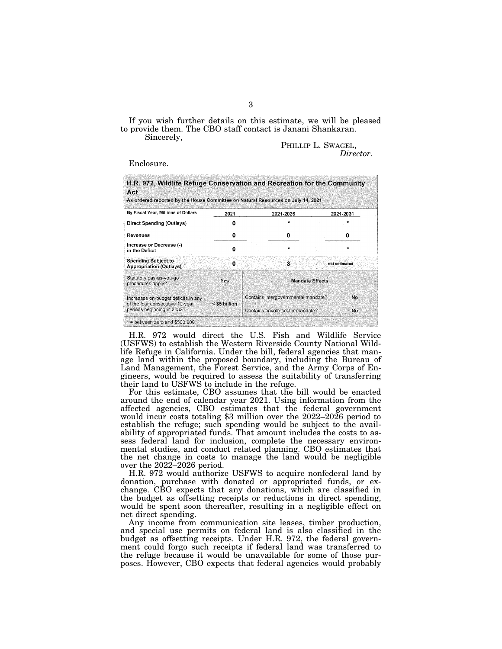If you wish further details on this estimate, we will be pleased to provide them. The CBO staff contact is Janani Shankaran.

Sincerely,

PHILLIP L. SWAGEL, *Director.* 

Enclosure.

| 2021                                                 | 2021-2026                           |                                  | 2021-2031                                                                                                                                                   |
|------------------------------------------------------|-------------------------------------|----------------------------------|-------------------------------------------------------------------------------------------------------------------------------------------------------------|
| Ω                                                    |                                     |                                  |                                                                                                                                                             |
| 0                                                    | o                                   |                                  | 0                                                                                                                                                           |
| ŋ                                                    |                                     |                                  |                                                                                                                                                             |
| $\Omega$                                             | 3                                   |                                  | not estimated                                                                                                                                               |
| Yes                                                  | <b>Mandate Effects</b>              |                                  |                                                                                                                                                             |
| Increases on-budget deficits in any<br>< \$5 billion | Contains intergovernmental mandate? |                                  | Nο                                                                                                                                                          |
| periods beginning in 2032?                           |                                     | Contains private-sector mandate? |                                                                                                                                                             |
|                                                      |                                     |                                  | H.R. 972, Wildlife Refuge Conservation and Recreation for the Community<br>As ordered reported by the House Committee on Natural Resources on July 14, 2021 |

H.R. 972 would direct the U.S. Fish and Wildlife Service (USFWS) to establish the Western Riverside County National Wildlife Refuge in California. Under the bill, federal agencies that manage land within the proposed boundary, including the Bureau of Land Management, the Forest Service, and the Army Corps of Engineers, would be required to assess the suitability of transferring their land to USFWS to include in the refuge.

For this estimate, CBO assumes that the bill would be enacted around the end of calendar year 2021. Using information from the affected agencies, CBO estimates that the federal government would incur costs totaling \$3 million over the 2022–2026 period to establish the refuge; such spending would be subject to the availability of appropriated funds. That amount includes the costs to assess federal land for inclusion, complete the necessary environmental studies, and conduct related planning. CBO estimates that the net change in costs to manage the land would be negligible over the 2022–2026 period.

H.R. 972 would authorize USFWS to acquire nonfederal land by donation, purchase with donated or appropriated funds, or exchange. CBO expects that any donations, which are classified in the budget as offsetting receipts or reductions in direct spending, would be spent soon thereafter, resulting in a negligible effect on net direct spending.

Any income from communication site leases, timber production, and special use permits on federal land is also classified in the budget as offsetting receipts. Under H.R. 972, the federal government could forgo such receipts if federal land was transferred to the refuge because it would be unavailable for some of those purposes. However, CBO expects that federal agencies would probably